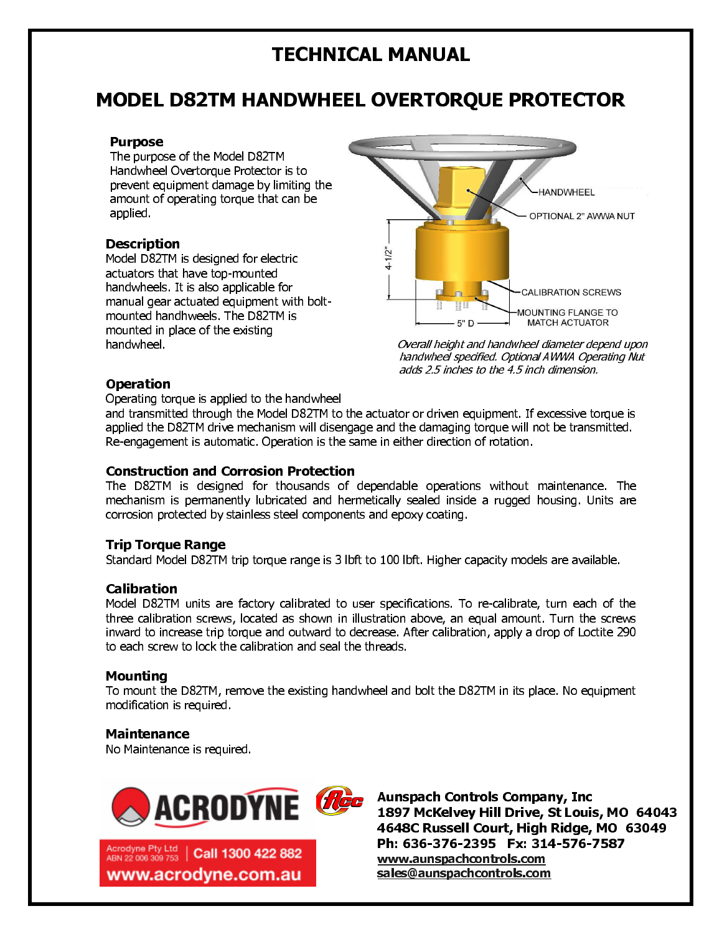# **TECHNICAL MANUAL**

**The purpose of the Model D82TM** Handwheel Overtorque Protector is to prevent equipment damage by limiting the amount of operating torque that can be applied.

## **Description**

Description Model D82TM is designed for electric actuators that have top-mounted handwheels. It is also applicable for manual gear actuated equipment with boltmounted handhweels. The D82TM is mounted in place of the existing handwheel.



 Overall height and handwheel diameter depend upon handwheel specified. Optional AWWA Operating Nut adds 2.5 inches to the 4.5 inch dimension.

## **Operation**

Operating torque is applied to the handwheel

and transmitted through the Model D82TM to the actuator or driven equipment. If excessive torque is applied the D82TM drive mechanism will disengage and the damaging torque will not be transmitted. Re-engagement is automatic. Operation is the same in either direction of rotation.

## Construction and Corrosion Protection

The D82TM is designed for thousands of dependable operations without maintenance. The mechanism is permanently lubricated and hermetically sealed inside a rugged housing. Units are corrosion protected by stainless steel components and epoxy coating.

#### Trip Torque Range

Standard Model D82TM trip torque range is 3 lbft to 100 lbft. Higher capacity models are available.

#### Calibration

DTOMIC (OSIE) dTOMIC and and to confirmed to the analysis of the confirmed and the confirmed and the confirmed Model D82TM units are factory calibrated to user specifications. To re-calibrate, turn each of the three calibration screws, located as shown in illustration above, an equal amount. Turn the screws inward to increase trip torque and outward to decrease. After calibration, apply a drop of Loctite 290 to each screw to lock the calibration and seal the threads.

#### Mounting

To mount the D82TM, remove the existing handwheel and bolt the D82TM in its place. No equipment modification is required.

#### Maintenance

i

No Maintenance is required.



 $\frac{1}{2}$ Aunspach Controls Company, Inc 1897 McKelvey Hill Drive, St Louis, MO 64043 4648C Russell Court, High Ridge, MO 63049 Ph: 636-376-2395 Fx: 314-576-7587 www.aunspachcontrols.com sales@aunspachcontrols.com